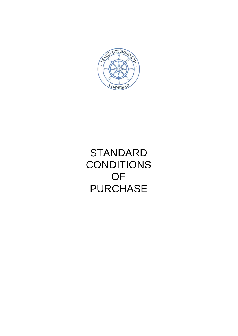

# **STANDARD CONDITIONS** OF **PURCHASE**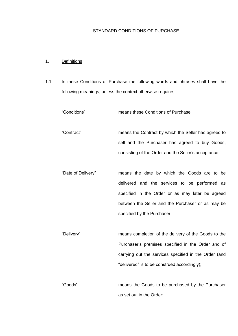## STANDARD CONDITIONS OF PURCHASE

# 1. Definitions

1.1 In these Conditions of Purchase the following words and phrases shall have the following meanings, unless the context otherwise requires:-

| "Conditions"       | means these Conditions of Purchase;                   |
|--------------------|-------------------------------------------------------|
| "Contract"         | means the Contract by which the Seller has agreed to  |
|                    | sell and the Purchaser has agreed to buy Goods,       |
|                    | consisting of the Order and the Seller's acceptance;  |
| "Date of Delivery" | means the date by which the Goods are to be           |
|                    | delivered and the services to be performed as         |
|                    | specified in the Order or as may later be agreed      |
|                    | between the Seller and the Purchaser or as may be     |
|                    | specified by the Purchaser;                           |
|                    |                                                       |
| "Delivery"         | means completion of the delivery of the Goods to the  |
|                    | Purchaser's premises specified in the Order and of    |
|                    | carrying out the services specified in the Order (and |
|                    | "delivered" is to be construed accordingly);          |
|                    |                                                       |
| "Goods"            | means the Goods to be purchased by the Purchaser      |
|                    | as set out in the Order;                              |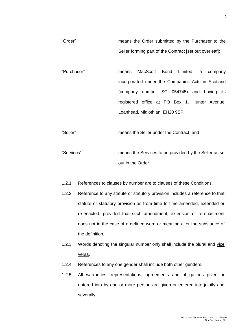"Order" means the Order submitted by the Purchaser to the Seller forming part of the Contract [set out overleaf];

"Purchaser" means MacScott Bond Limited, a company incorporated under the Companies Acts in Scotland (company number SC 054745) and having its registered office at PO Box 1, Hunter Avenue, Loanhead, Midlothian, EH20 9SP;

"Seller" means the Seller under the Contract; and

"Services" means the Services to be provided by the Seller as set out in the Order.

- 1.2.1 References to clauses by number are to clauses of these Conditions.
- 1.2.2 Reference to any statute or statutory provision includes a reference to that statute or statutory provision as from time to time amended, extended or re-enacted, provided that such amendment, extension or re-enactment does not in the case of a defined word or meaning alter the substance of the definition.
- 1.2.3 Words denoting the singular number only shall include the plural and vice versa.
- 1.2.4 References to any one gender shall include both other genders.
- 1.2.5 All warranties, representations, agreements and obligations given or entered into by one or more person are given or entered into jointly and severally.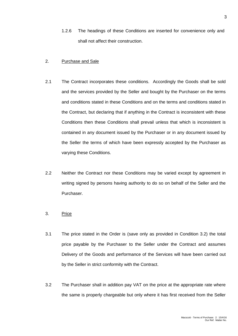1.2.6 The headings of these Conditions are inserted for convenience only and shall not affect their construction.

#### 2. Purchase and Sale

- 2.1 The Contract incorporates these conditions. Accordingly the Goods shall be sold and the services provided by the Seller and bought by the Purchaser on the terms and conditions stated in these Conditions and on the terms and conditions stated in the Contract, but declaring that if anything in the Contract is inconsistent with these Conditions then these Conditions shall prevail unless that which is inconsistent is contained in any document issued by the Purchaser or in any document issued by the Seller the terms of which have been expressly accepted by the Purchaser as varying these Conditions.
- 2.2 Neither the Contract nor these Conditions may be varied except by agreement in writing signed by persons having authority to do so on behalf of the Seller and the Purchaser.

## 3. Price

- 3.1 The price stated in the Order is (save only as provided in Condition 3.2) the total price payable by the Purchaser to the Seller under the Contract and assumes Delivery of the Goods and performance of the Services will have been carried out by the Seller in strict conformity with the Contract.
- 3.2 The Purchaser shall in addition pay VAT on the price at the appropriate rate where the same is properly chargeable but only where it has first received from the Seller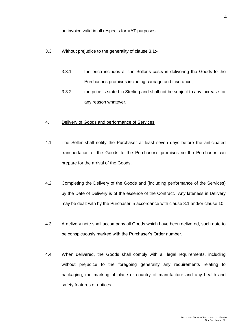an invoice valid in all respects for VAT purposes.

- 3.3 Without prejudice to the generality of clause 3.1:-
	- 3.3.1 the price includes all the Seller's costs in delivering the Goods to the Purchaser's premises including carriage and insurance;
	- 3.3.2 the price is stated in Sterling and shall not be subject to any increase for any reason whatever.

#### 4. Delivery of Goods and performance of Services

- 4.1 The Seller shall notify the Purchaser at least seven days before the anticipated transportation of the Goods to the Purchaser's premises so the Purchaser can prepare for the arrival of the Goods.
- 4.2 Completing the Delivery of the Goods and (including performance of the Services) by the Date of Delivery is of the essence of the Contract. Any lateness in Delivery may be dealt with by the Purchaser in accordance with clause 8.1 and/or clause 10.
- 4.3 A delivery note shall accompany all Goods which have been delivered, such note to be conspicuously marked with the Purchaser's Order number.
- 4.4 When delivered, the Goods shall comply with all legal requirements, including without prejudice to the foregoing generality any requirements relating to packaging, the marking of place or country of manufacture and any health and safety features or notices.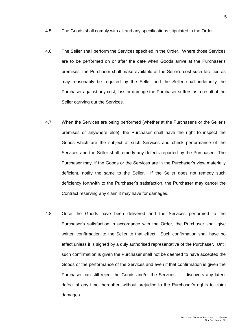- 4.5 The Goods shall comply with all and any specifications stipulated in the Order.
- 4.6 The Seller shall perform the Services specified in the Order. Where those Services are to be performed on or after the date when Goods arrive at the Purchaser's premises, the Purchaser shall make available at the Seller's cost such facilities as may reasonably be required by the Seller and the Seller shall indemnify the Purchaser against any cost, loss or damage the Purchaser suffers as a result of the Seller carrying out the Services.
- 4.7 When the Services are being performed (whether at the Purchaser's or the Seller's premises or anywhere else), the Purchaser shall have the right to inspect the Goods which are the subject of such Services and check performance of the Services and the Seller shall remedy any defects reported by the Purchaser. The Purchaser may, if the Goods or the Services are in the Purchaser's view materially deficient, notify the same to the Seller. If the Seller does not remedy such deficiency forthwith to the Purchaser's satisfaction, the Purchaser may cancel the Contract reserving any claim it may have for damages.
- 4.8 Once the Goods have been delivered and the Services performed to the Purchaser's satisfaction in accordance with the Order, the Purchaser shall give written confirmation to the Seller to that effect. Such confirmation shall have no effect unless it is signed by a duly authorised representative of the Purchaser. Until such confirmation is given the Purchaser shall not be deemed to have accepted the Goods or the performance of the Services and even if that confirmation is given the Purchaser can still reject the Goods and/or the Services if it discovers any latent defect at any time thereafter, without prejudice to the Purchaser's rights to claim damages.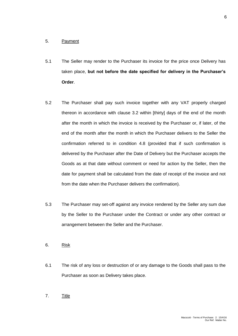#### 5. Payment

- 5.1 The Seller may render to the Purchaser its invoice for the price once Delivery has taken place, **but not before the date specified for delivery in the Purchaser's Order**.
- 5.2 The Purchaser shall pay such invoice together with any VAT properly charged thereon in accordance with clause 3.2 within [thirty] days of the end of the month after the month in which the invoice is received by the Purchaser or, if later, of the end of the month after the month in which the Purchaser delivers to the Seller the confirmation referred to in condition 4.8 (provided that if such confirmation is delivered by the Purchaser after the Date of Delivery but the Purchaser accepts the Goods as at that date without comment or need for action by the Seller, then the date for payment shall be calculated from the date of receipt of the invoice and not from the date when the Purchaser delivers the confirmation).
- 5.3 The Purchaser may set-off against any invoice rendered by the Seller any sum due by the Seller to the Purchaser under the Contract or under any other contract or arrangement between the Seller and the Purchaser.
- 6. Risk
- 6.1 The risk of any loss or destruction of or any damage to the Goods shall pass to the Purchaser as soon as Delivery takes place.
- 7. Title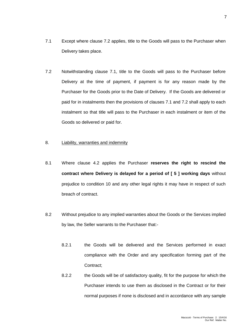- 7.1 Except where clause 7.2 applies, title to the Goods will pass to the Purchaser when Delivery takes place.
- 7.2 Notwithstanding clause 7.1, title to the Goods will pass to the Purchaser before Delivery at the time of payment, if payment is for any reason made by the Purchaser for the Goods prior to the Date of Delivery. If the Goods are delivered or paid for in instalments then the provisions of clauses 7.1 and 7.2 shall apply to each instalment so that title will pass to the Purchaser in each instalment or item of the Goods so delivered or paid for.

#### 8. Liability, warranties and indemnity

- 8.1 Where clause 4.2 applies the Purchaser **reserves the right to rescind the contract where Delivery is delayed for a period of [ 5 ] working days** without prejudice to condition 10 and any other legal rights it may have in respect of such breach of contract.
- 8.2 Without prejudice to any implied warranties about the Goods or the Services implied by law, the Seller warrants to the Purchaser that:-
	- 8.2.1 the Goods will be delivered and the Services performed in exact compliance with the Order and any specification forming part of the Contract;
	- 8.2.2 the Goods will be of satisfactory quality, fit for the purpose for which the Purchaser intends to use them as disclosed in the Contract or for their normal purposes if none is disclosed and in accordance with any sample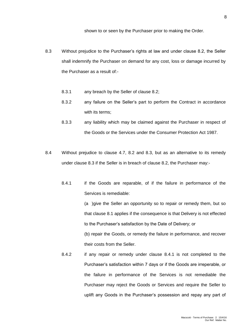- 8.3 Without prejudice to the Purchaser's rights at law and under clause 8.2, the Seller shall indemnify the Purchaser on demand for any cost, loss or damage incurred by the Purchaser as a result of:-
	- 8.3.1 any breach by the Seller of clause 8.2;
	- 8.3.2 any failure on the Seller's part to perform the Contract in accordance with its terms;
	- 8.3.3 any liability which may be claimed against the Purchaser in respect of the Goods or the Services under the Consumer Protection Act 1987.
- 8.4 Without prejudice to clause 4.7, 8.2 and 8.3, but as an alternative to its remedy under clause 8.3 if the Seller is in breach of clause 8.2, the Purchaser may:-
	- 8.4.1 if the Goods are reparable, of if the failure in performance of the Services is remediable:

(a )give the Seller an opportunity so to repair or remedy them, but so that clause 8.1 applies if the consequence is that Delivery is not effected to the Purchaser's satisfaction by the Date of Delivery; or

(b) repair the Goods, or remedy the failure in performance, and recover their costs from the Seller.

8.4.2 if any repair or remedy under clause 8.4.1 is not completed to the Purchaser's satisfaction within 7 days or if the Goods are irreperable, or the failure in performance of the Services is not remediable the Purchaser may reject the Goods or Services and require the Seller to uplift any Goods in the Purchaser's possession and repay any part of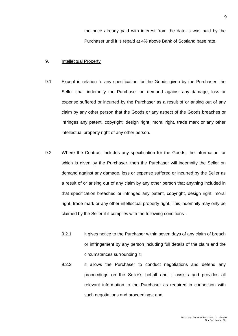the price already paid with interest from the date is was paid by the Purchaser until it is repaid at 4% above Bank of Scotland base rate.

### 9. Intellectual Property

- 9.1 Except in relation to any specification for the Goods given by the Purchaser, the Seller shall indemnify the Purchaser on demand against any damage, loss or expense suffered or incurred by the Purchaser as a result of or arising out of any claim by any other person that the Goods or any aspect of the Goods breaches or infringes any patent, copyright, design right, moral right, trade mark or any other intellectual property right of any other person.
- 9.2 Where the Contract includes any specification for the Goods, the information for which is given by the Purchaser, then the Purchaser will indemnify the Seller on demand against any damage, loss or expense suffered or incurred by the Seller as a result of or arising out of any claim by any other person that anything included in that specification breached or infringed any patent, copyright, design right, moral right, trade mark or any other intellectual property right. This indemnity may only be claimed by the Seller if it complies with the following conditions -
	- 9.2.1 it gives notice to the Purchaser within seven days of any claim of breach or infringement by any person including full details of the claim and the circumstances surrounding it;
	- 9.2.2 it allows the Purchaser to conduct negotiations and defend any proceedings on the Seller's behalf and it assists and provides all relevant information to the Purchaser as required in connection with such negotiations and proceedings; and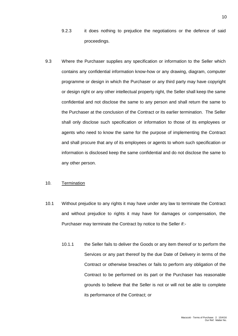- 9.2.3 it does nothing to prejudice the negotiations or the defence of said proceedings.
- 9.3 Where the Purchaser supplies any specification or information to the Seller which contains any confidential information know-how or any drawing, diagram, computer programme or design in which the Purchaser or any third party may have copyright or design right or any other intellectual property right, the Seller shall keep the same confidential and not disclose the same to any person and shall return the same to the Purchaser at the conclusion of the Contract or its earlier termination. The Seller shall only disclose such specification or information to those of its employees or agents who need to know the same for the purpose of implementing the Contract and shall procure that any of its employees or agents to whom such specification or information is disclosed keep the same confidential and do not disclose the same to any other person.

### 10. Termination

- 10.1 Without prejudice to any rights it may have under any law to terminate the Contract and without prejudice to rights it may have for damages or compensation, the Purchaser may terminate the Contract by notice to the Seller if:-
	- 10.1.1 the Seller fails to deliver the Goods or any item thereof or to perform the Services or any part thereof by the due Date of Delivery in terms of the Contract or otherwise breaches or fails to perform any obligation of the Contract to be performed on its part or the Purchaser has reasonable grounds to believe that the Seller is not or will not be able to complete its performance of the Contract; or